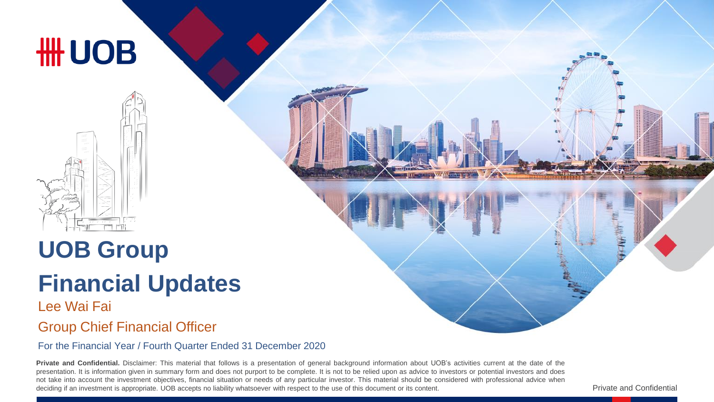

# **UOB Group**

# **Financial Updates**

#### Lee Wai Fai Group Chief Financial Officer

#### For the Financial Year / Fourth Quarter Ended 31 December 2020

**Private and Confidential.** Disclaimer: This material that follows is a presentation of general background information about UOB's activities current at the date of the presentation. It is information given in summary form and does not purport to be complete. It is not to be relied upon as advice to investors or potential investors and does not take into account the investment objectives, financial situation or needs of any particular investor. This material should be considered with professional advice when deciding if an investment is appropriate. UOB accepts no liability whatsoever with respect to the use of this document or its content.

Private and Confidential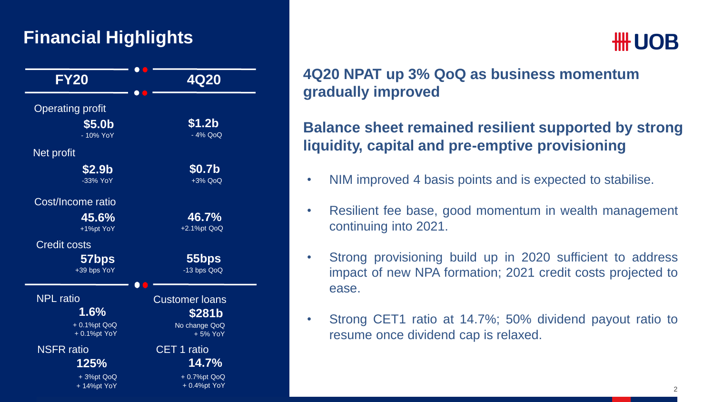#### **Financial Highlights**



## **HH UOB**

#### **4Q20 NPAT up 3% QoQ as business momentum gradually improved**

#### **Balance sheet remained resilient supported by strong liquidity, capital and pre-emptive provisioning**

- NIM improved 4 basis points and is expected to stabilise.
- Resilient fee base, good momentum in wealth management continuing into 2021.
- Strong provisioning build up in 2020 sufficient to address impact of new NPA formation; 2021 credit costs projected to ease.
- Strong CET1 ratio at 14.7%; 50% dividend payout ratio to resume once dividend cap is relaxed.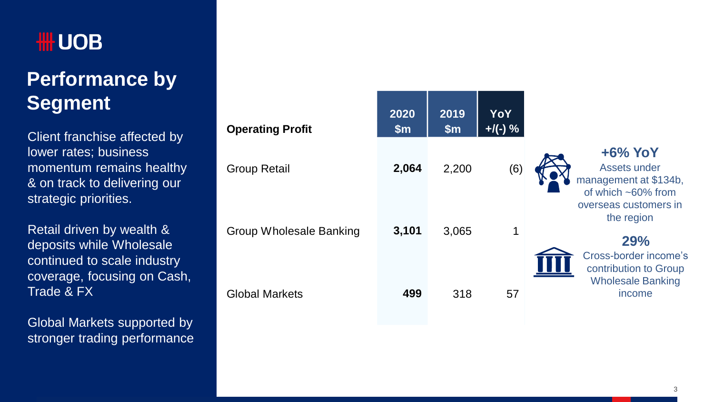## **Performance by Segment**

Client franchise affected by lower rates; business momentum remains healthy & on track to delivering our strategic priorities.

Retail driven by wealth & deposits while Wholesale continued to scale industry coverage, focusing on Cash, Trade & FX

Global Markets supported by stronger trading performance

| <b>Operating Profit</b> | 2020<br>$\mathsf{Sm}$ | 2019<br>$\mathsf{Sm}$ | YoY<br>$+$ /(-) % |                                                                              |
|-------------------------|-----------------------|-----------------------|-------------------|------------------------------------------------------------------------------|
| <b>Group Retail</b>     | 2,064                 | 2,200                 | (6)               | $+6\%$ YoY<br>Assets under<br>management at \$134b,<br>of which $~50\%$ from |
| Group Wholesale Banking | 3,101                 | 3,065                 | 1                 | overseas customers in<br>the region<br>29%<br>Cross-border income's          |
| <b>Global Markets</b>   | 499                   | 318                   | 57                | contribution to Group<br><b>Wholesale Banking</b><br>income                  |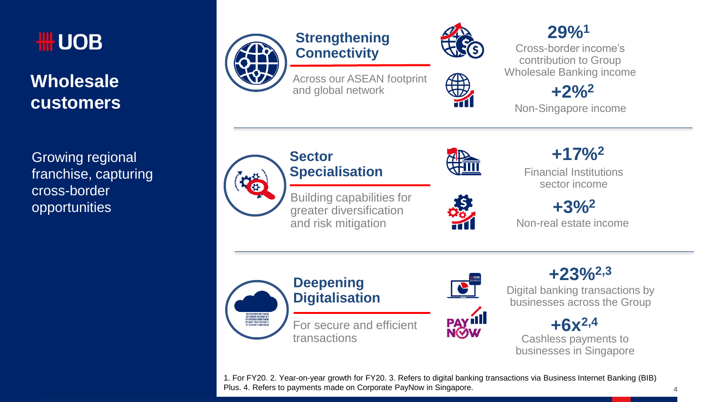

#### **Wholesale customers**

Growing regional franchise, capturing cross-border opportunities



#### **Strengthening Connectivity**

Across our ASEAN footprint and global network



\$

#### **29%<sup>1</sup>**

Cross-border income's contribution to Group Wholesale Banking income

**+2%<sup>2</sup>**

Non-Singapore income



#### **Sector Specialisation**

Building capabilities for greater diversification and risk mitigation





**PAY III**<br>NOW

Financial Institutions sector income **+17%<sup>2</sup>**

Non-real estate income **+3%<sup>2</sup>**





**+23%2,3**

Digital banking transactions by businesses across the Group



Cashless payments to businesses in Singapore

1. For FY20. 2. Year-on-year growth for FY20. 3. Refers to digital banking transactions via Business Internet Banking (BIB) Plus. 4. Refers to payments made on Corporate PayNow in Singapore.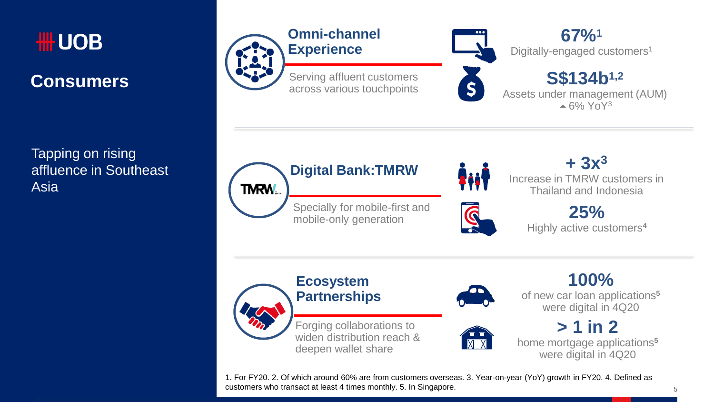

#### **Consumers**

Tapping on rising affluence in Southeast Asia



**67%<sup>1</sup>** Digitally-engaged customers<sup>1</sup>

**S\$134b1,2** Assets under management (AUM)  $\triangle$  6% YoY<sub>3</sub>



**FiiF** 

**+ 3x<sup>3</sup>** Increase in TMRW customers in Thailand and Indonesia

> **25%** Highly active customers**<sup>4</sup>**







of new car loan applications**<sup>5</sup>** were digital in 4Q20

**100%** 

**> 1 in 2** home mortgage applications**<sup>5</sup>** were digital in 4Q20

1. For FY20. 2. Of which around 60% are from customers overseas. 3. Year-on-year (YoY) growth in FY20. 4. Defined as customers who transact at least 4 times monthly. 5. In Singapore.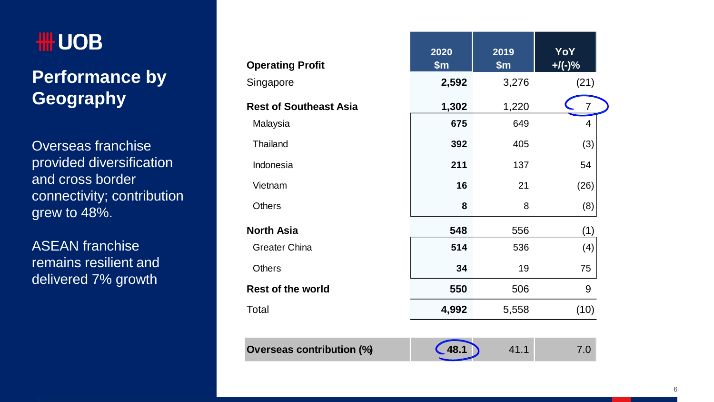## **₩UOB**

### **Performance by Geography**

Overseas franchise provided diversification and cross border connectivity; contribution grew to 48%.

ASEAN franchise remains resilient and delivered 7% growth

| <b>Operating Profit</b>          | 2020<br>\$m\$ | 2019<br>\$m\$ | YoY<br>$+$ /(-)% |
|----------------------------------|---------------|---------------|------------------|
| Singapore                        | 2,592         | 3,276         | (21)             |
| <b>Rest of Southeast Asia</b>    | 1,302         | 1,220         | 7                |
| Malaysia                         | 675           | 649           | 4                |
| Thailand                         | 392           | 405           | (3)              |
| Indonesia                        | 211           | 137           | 54               |
| Vietnam                          | 16            | 21            | (26)             |
| <b>Others</b>                    | 8             | 8             | (8)              |
| <b>North Asia</b>                | 548           | 556           | (1)              |
| Greater China                    | 514           | 536           | (4)              |
| <b>Others</b>                    | 34            | 19            | 75               |
| <b>Rest of the world</b>         | 550           | 506           | 9                |
| Total                            | 4,992         | 5,558         | (10)             |
|                                  |               |               |                  |
| <b>Overseas contribution (%)</b> | 48.           | 41.1          | 7.0              |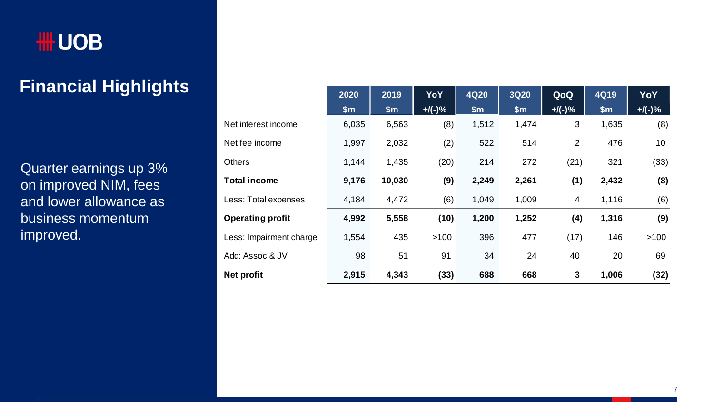

### **Financial Highlights**

Quarter earnings up 3% on improved NIM, fees and lower allowance as business momentum improved.

|                         | 2020          | 2019   | YoY       | <b>4Q20</b>   | <b>3Q20</b> | QoQ       | 4Q19  | YoY       |
|-------------------------|---------------|--------|-----------|---------------|-------------|-----------|-------|-----------|
|                         | $\mathsf{Sm}$ | \$m\$  | $+$ /(-)% | $\mathsf{Sm}$ | \$m\$       | $+$ /(-)% | \$m\$ | $+$ /(-)% |
| Net interest income     | 6,035         | 6,563  | (8)       | 1,512         | 1,474       | 3         | 1,635 | (8)       |
| Net fee income          | 1,997         | 2,032  | (2)       | 522           | 514         | 2         | 476   | 10        |
| <b>Others</b>           | 1,144         | 1,435  | (20)      | 214           | 272         | (21)      | 321   | (33)      |
| <b>Total income</b>     | 9,176         | 10,030 | (9)       | 2,249         | 2,261       | (1)       | 2,432 | (8)       |
| Less: Total expenses    | 4,184         | 4,472  | (6)       | 1,049         | 1,009       | 4         | 1,116 | (6)       |
| <b>Operating profit</b> | 4,992         | 5,558  | (10)      | 1,200         | 1,252       | (4)       | 1,316 | (9)       |
| Less: Impairment charge | 1,554         | 435    | >100      | 396           | 477         | (17)      | 146   | >100      |
| Add: Assoc & JV         | 98            | 51     | 91        | 34            | 24          | 40        | 20    | 69        |
| Net profit              | 2,915         | 4,343  | (33)      | 688           | 668         | 3         | 1,006 | (32)      |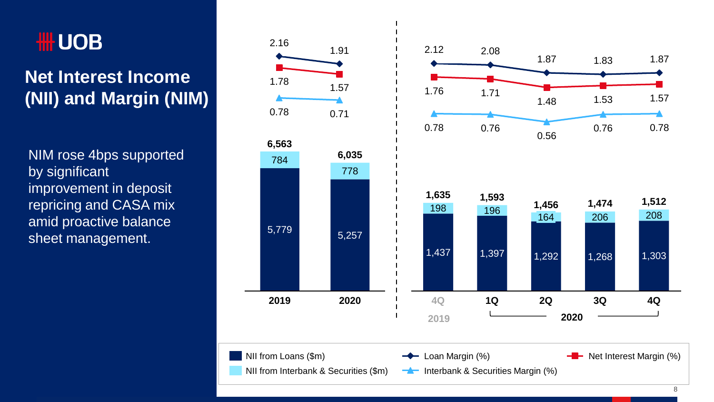## **HILL UOB**

### **Net Interest Income (NII) and Margin (NIM)**

NIM rose 4bps supported by significant improvement in deposit repricing and CASA mix amid proactive balance sheet management. 5,779 5,257

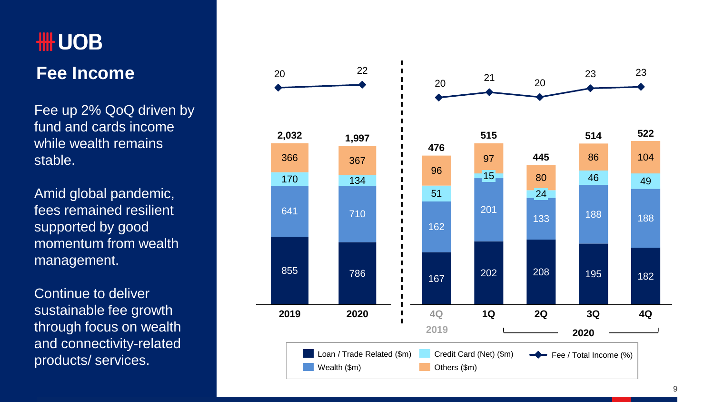# **₩UOB Fee Income**

Fee up 2% QoQ driven by fund and cards income while wealth remains stable.

Amid global pandemic, fees remained resilient supported by good momentum from wealth management.

Continue to deliver sustainable fee growth through focus on wealth and connectivity -related

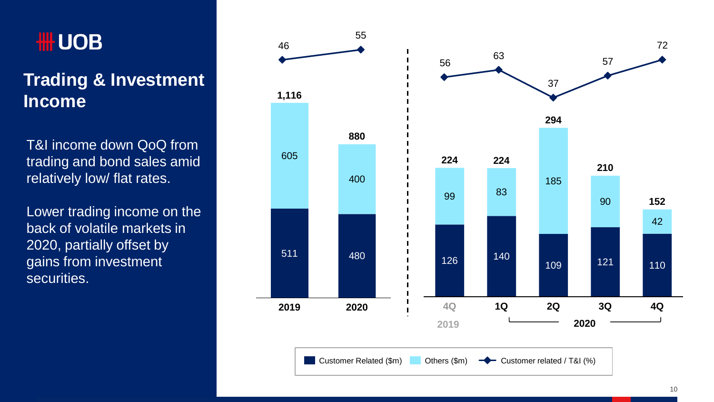## **HILL UOB**

### **Trading & Investment Income**

T&I income down QoQ from trading and bond sales amid relatively low/ flat rates.

Lower trading income on the back of volatile markets in 2020, partially offset by gains from investment securities.

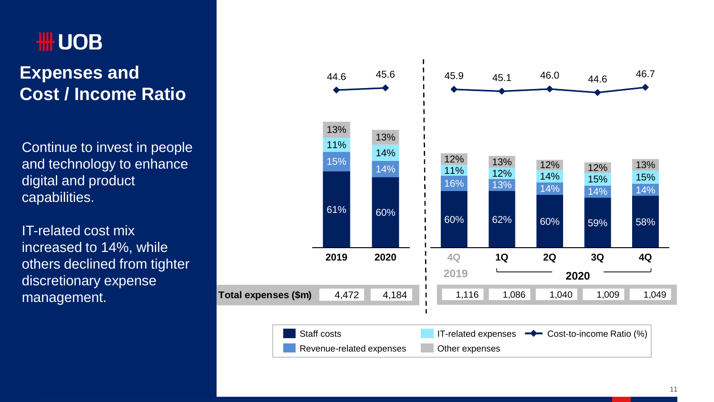## **HILL UOB**

#### **Expenses and Cost / Income Ratio**

Continue to invest in people and technology to enhance digital and product capabilities.

IT-related cost mix increased to 14%, while others declined from tighter discretionary expense management.

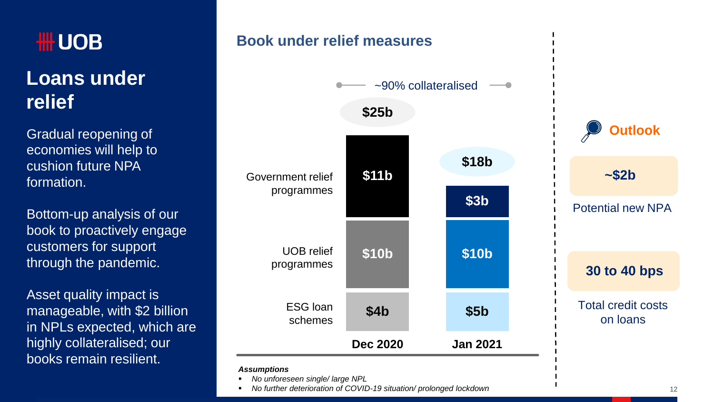

### **Loans under relief**

Gradual reopening of economies will help to cushion future NPA formation.

Bottom-up analysis of our book to proactively engage customers for support through the pandemic.

Asset quality impact is manageable, with \$2 billion in NPLs expected, which are highly collateralised; our books remain resilient.

#### **Book under relief measures**



*No unforeseen single/ large NPL*

*No further deterioration of COVID-19 situation/ prolonged lockdown*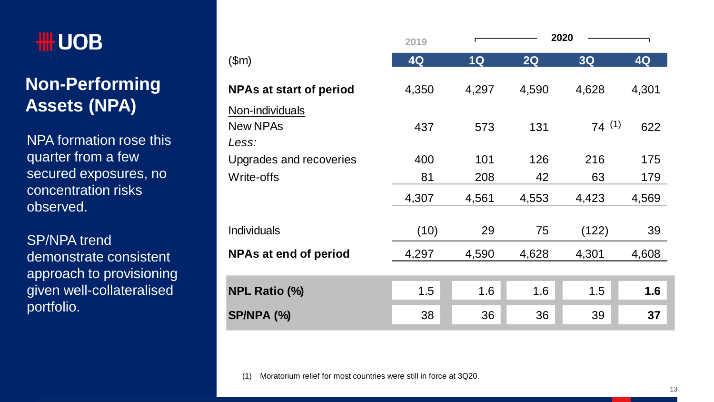#### **Non-Performing Assets (NPA)**

NPA formation rose this quarter from a few secured exposures, no concentration risks observed.

SP/NPA trend demonstrate consistent approach to provisioning given well-collateralised portfolio.

|                                             | 2019  |       |       | 2020  |       |
|---------------------------------------------|-------|-------|-------|-------|-------|
| \$m\$                                       | 4Q    | 1Q    | 2Q    | 3Q    | 4Q    |
| <b>NPAs at start of period</b>              | 4,350 | 4,297 | 4,590 | 4,628 | 4,301 |
| Non-individuals<br><b>New NPAs</b><br>Less: | 437   | 573   | 131   | 74(1) | 622   |
| Upgrades and recoveries                     | 400   | 101   | 126   | 216   | 175   |
| Write-offs                                  | 81    | 208   | 42    | 63    | 179   |
|                                             | 4,307 | 4,561 | 4,553 | 4,423 | 4,569 |
| Individuals                                 | (10)  | 29    | 75    | (122) | 39    |
| <b>NPAs at end of period</b>                | 4,297 | 4,590 | 4,628 | 4,301 | 4,608 |
|                                             |       |       |       |       |       |
| <b>NPL Ratio (%)</b>                        | 1.5   | 1.6   | 1.6   | 1.5   | 1.6   |
| <b>SP/NPA (%)</b>                           | 38    | 36    | 36    | 39    | 37    |

(1) Moratorium relief for most countries were still in force at 3Q20.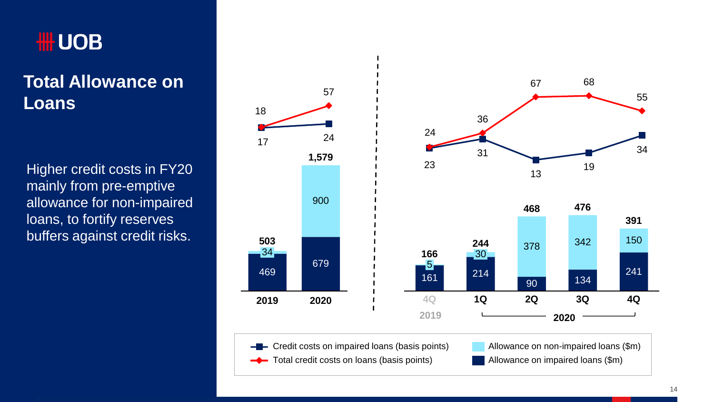#### **Total Allowance on Loans**

Higher credit costs in FY20 mainly from pre-emptive allowance for non-impaired loans, to fortify reserves buffers against credit risks.

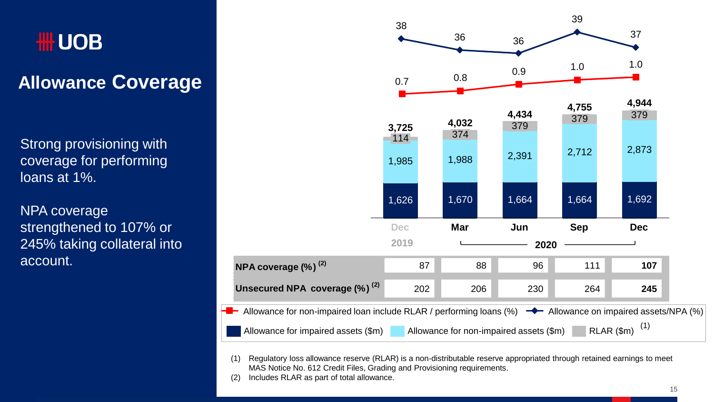## **HILL UOB**

### **Allowance Coverage**

Strong provisioning with coverage for performing loans at 1%.

NPA coverage strengthened to 107% or 245% taking collateral into account.



(1) Regulatory loss allowance reserve (RLAR) is a non-distributable reserve appropriated through retained earnings to meet MAS Notice No. 612 Credit Files, Grading and Provisioning requirements.

(2) Includes RLAR as part of total allowance.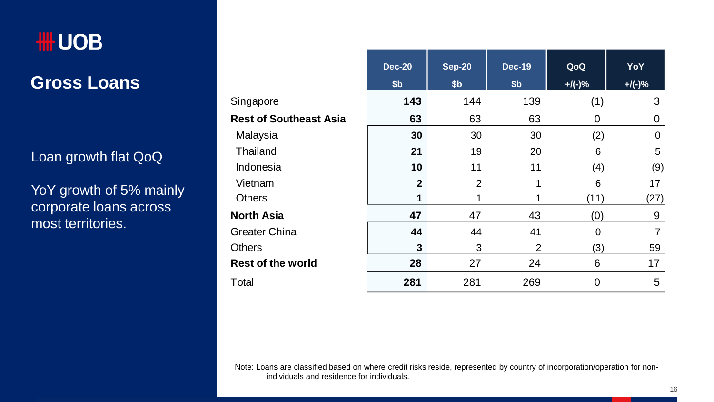

**Gross Loans**

#### Loan growth flat QoQ

YoY growth of 5% mainly corporate loans across most territories.

|                               | <b>Dec-20</b>   | <b>Sep-20</b>   | <b>Dec-19</b>   | QoQ       | YoY            |
|-------------------------------|-----------------|-----------------|-----------------|-----------|----------------|
|                               | \$ <sub>b</sub> | \$ <sub>b</sub> | \$ <sub>b</sub> | $+$ /(-)% | $+$ /(-)%      |
| Singapore                     | 143             | 144             | 139             | (1)       | 3              |
| <b>Rest of Southeast Asia</b> | 63              | 63              | 63              | 0         | 0              |
| Malaysia                      | 30              | 30              | 30              | (2)       | 0              |
| Thailand                      | 21              | 19              | 20              | 6         | 5              |
| Indonesia                     | 10              | 11              | 11              | (4)       | (9)            |
| Vietnam                       | $\mathbf{2}$    | $\overline{2}$  | 1               | 6         | 17             |
| <b>Others</b>                 | 1               |                 | 1               | (11)      | (27)           |
| <b>North Asia</b>             | 47              | 47              | 43              | (0)       | 9              |
| <b>Greater China</b>          | 44              | 44              | 41              | 0         | $\overline{7}$ |
| <b>Others</b>                 | 3               | 3               | 2               | (3)       | 59             |
| <b>Rest of the world</b>      | 28              | 27              | 24              | 6         | 17             |
| Total                         | 281             | 281             | 269             | 0         | 5              |

Note: Loans are classified based on where credit risks reside, represented by country of incorporation/operation for nonindividuals and residence for individuals. .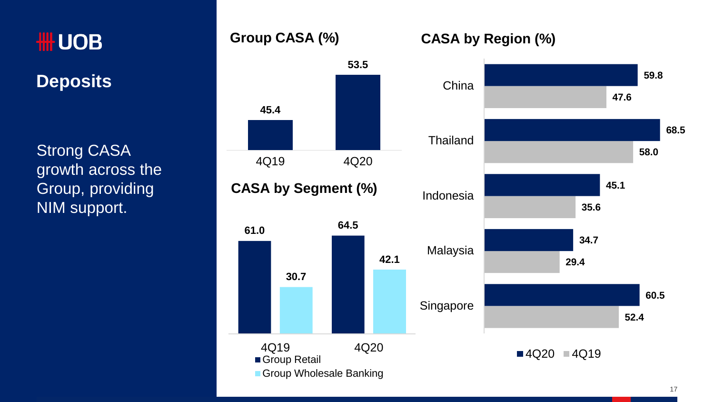**Deposits**

Strong CASA growth across the Group, providing NIM support.

#### **Group CASA (%)**



#### **CASA by Region (%)**

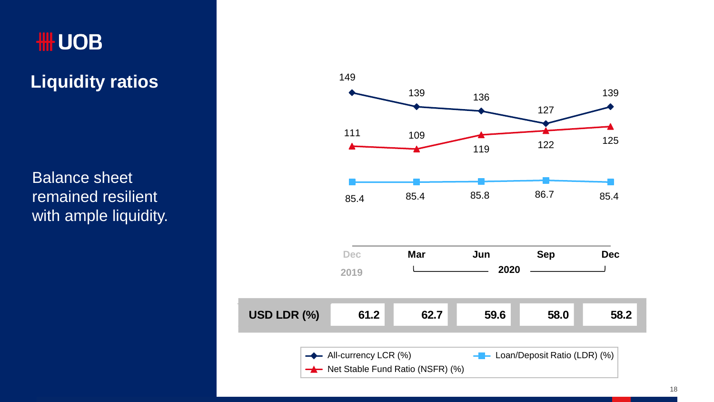## **₩UOB**

**Liquidity ratios**

Balance sheet remained resilient with ample liquidity.

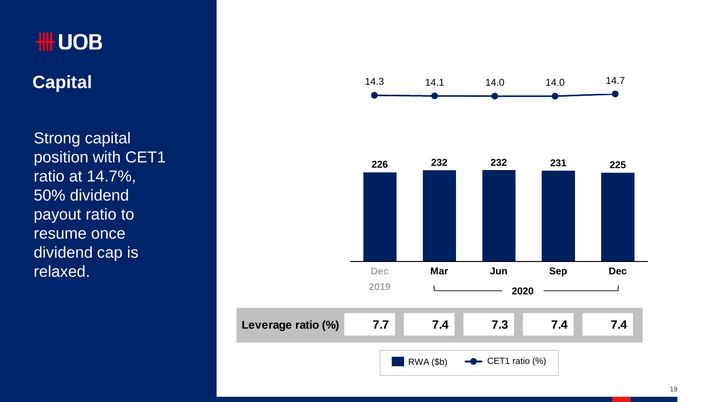## **₩UOB**

**Capital** 

Strong capital position with CET1 ratio at 14.7%, 50% dividend payout ratio to resume once dividend cap is relaxed .

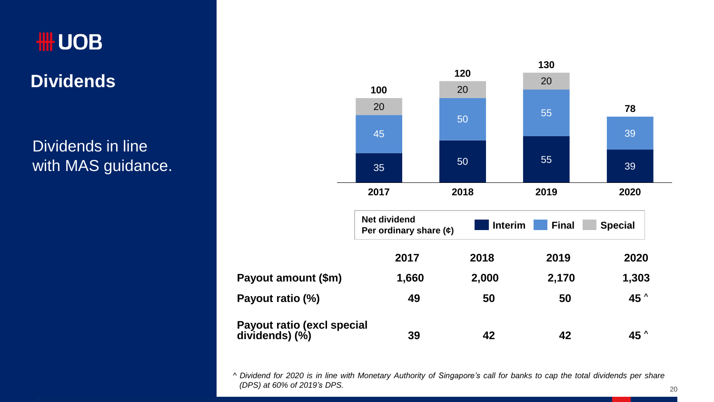#### **Dividends**

Dividends in line with MAS guidance.



^ Dividend for 2020 is in line with Monetary Authority of Singapore's call for banks to cap the total dividends per share *(DPS) at 60% of 2019's DPS.*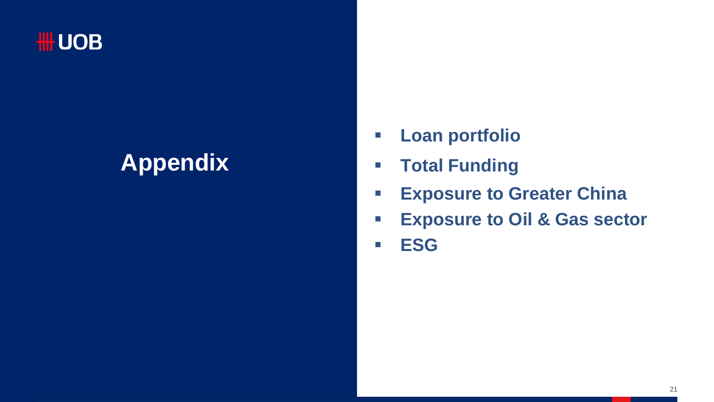### **₩UOB**

# **Appendix**

- **Loan portfolio**
- **Total Funding**
- **Exposure to Greater China**
- **Exposure to Oil & Gas sector**
- **ESG**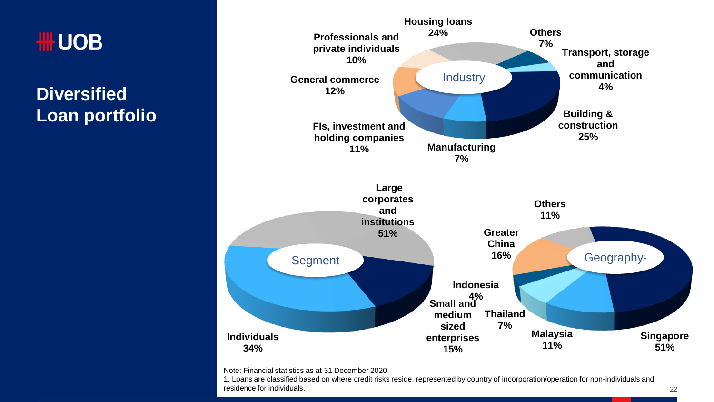## **₩UOB**

**Diversified Loan portfolio**



Note: Financial statistics as at 31 December 2020

1. Loans are classified based on where credit risks reside, represented by country of incorporation/operation for non-individuals and residence for individuals.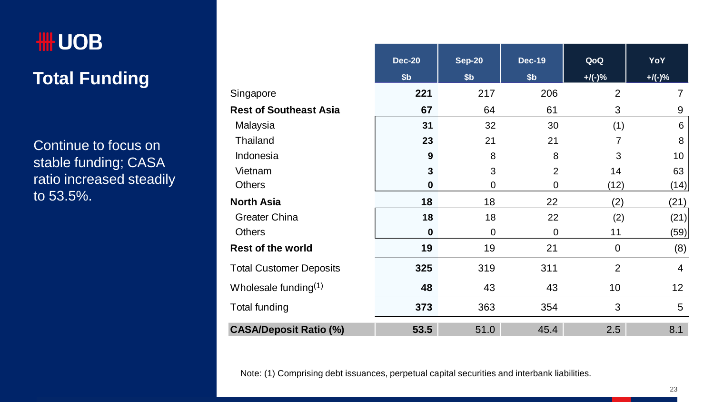# ₩UOB **Total Funding**

Continue to focus on stable funding; CASA ratio increased steadily to 53.5%.

|                                | <b>Dec-20</b>    | <b>Sep-20</b>   | <b>Dec-19</b>   | QoQ            | YoY            |
|--------------------------------|------------------|-----------------|-----------------|----------------|----------------|
|                                | \$ <sub>b</sub>  | \$ <sub>b</sub> | \$ <sub>b</sub> | $+$ /(-)%      | $+/(-)$ %      |
| Singapore                      | 221              | 217             | 206             | $\overline{2}$ | $\overline{7}$ |
| <b>Rest of Southeast Asia</b>  | 67               | 64              | 61              | 3              | 9              |
| Malaysia                       | 31               | 32              | 30              | (1)            | 6              |
| Thailand                       | 23               | 21              | 21              | $\overline{7}$ | 8              |
| Indonesia                      | $\boldsymbol{9}$ | 8               | 8               | 3              | 10             |
| Vietnam                        | 3                | 3               | $\overline{2}$  | 14             | 63             |
| <b>Others</b>                  | $\bf{0}$         | 0               | 0               | (12)           | (14)           |
| <b>North Asia</b>              | 18               | 18              | 22              | (2)            | (21)           |
| Greater China                  | 18               | 18              | 22              | (2)            | (21)           |
| <b>Others</b>                  | $\bf{0}$         | 0               | 0               | 11             | (59)           |
| <b>Rest of the world</b>       | 19               | 19              | 21              | $\mathbf 0$    | (8)            |
| <b>Total Customer Deposits</b> | 325              | 319             | 311             | $\overline{2}$ | 4              |
| Wholesale funding $(1)$        | 48               | 43              | 43              | 10             | 12             |
| Total funding                  | 373              | 363             | 354             | 3              | 5              |
| <b>CASA/Deposit Ratio (%)</b>  | 53.5             | 51.0            | 45.4            | 2.5            | 8.1            |

Note: (1) Comprising debt issuances, perpetual capital securities and interbank liabilities.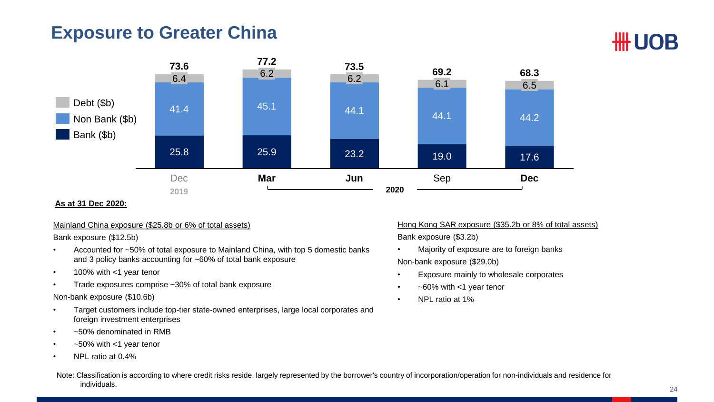#### **Exposure to Greater China**



#### **As at 31 Dec 2020:**

#### Mainland China exposure (\$25.8b or 6% of total assets)

Bank exposure (\$12.5b)

- Accounted for ~50% of total exposure to Mainland China, with top 5 domestic banks and 3 policy banks accounting for ~60% of total bank exposure
- 100% with <1 year tenor
- Trade exposures comprise ~30% of total bank exposure

#### Non-bank exposure (\$10.6b)

- Target customers include top-tier state-owned enterprises, large local corporates and foreign investment enterprises
- ~50% denominated in RMB
- $\cdot$   $\sim$  50% with <1 year tenor
- NPL ratio at 0.4%

Hong Kong SAR exposure (\$35.2b or 8% of total assets) Bank exposure (\$3.2b)

- Majority of exposure are to foreign banks Non-bank exposure (\$29.0b)
- Exposure mainly to wholesale corporates
- ~60% with <1 year tenor
- NPL ratio at 1%

Note: Classification is according to where credit risks reside, largely represented by the borrower's country of incorporation/operation for non-individuals and residence for individuals.

**HH UOB**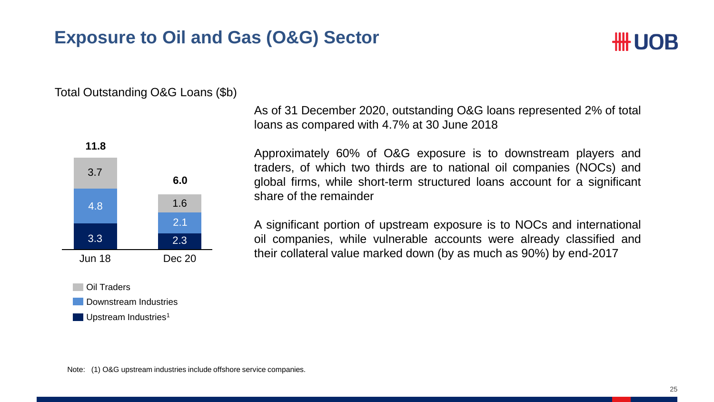#### **Exposure to Oil and Gas (O&G) Sector**



#### Total Outstanding O&G Loans (\$b)



Upstream Industries<sup>1</sup>

As of 31 December 2020, outstanding O&G loans represented 2% of total loans as compared with 4.7% at 30 June 2018

Approximately 60% of O&G exposure is to downstream players and traders, of which two thirds are to national oil companies (NOCs) and global firms, while short-term structured loans account for a significant share of the remainder

A significant portion of upstream exposure is to NOCs and international oil companies, while vulnerable accounts were already classified and their collateral value marked down (by as much as 90%) by end-2017